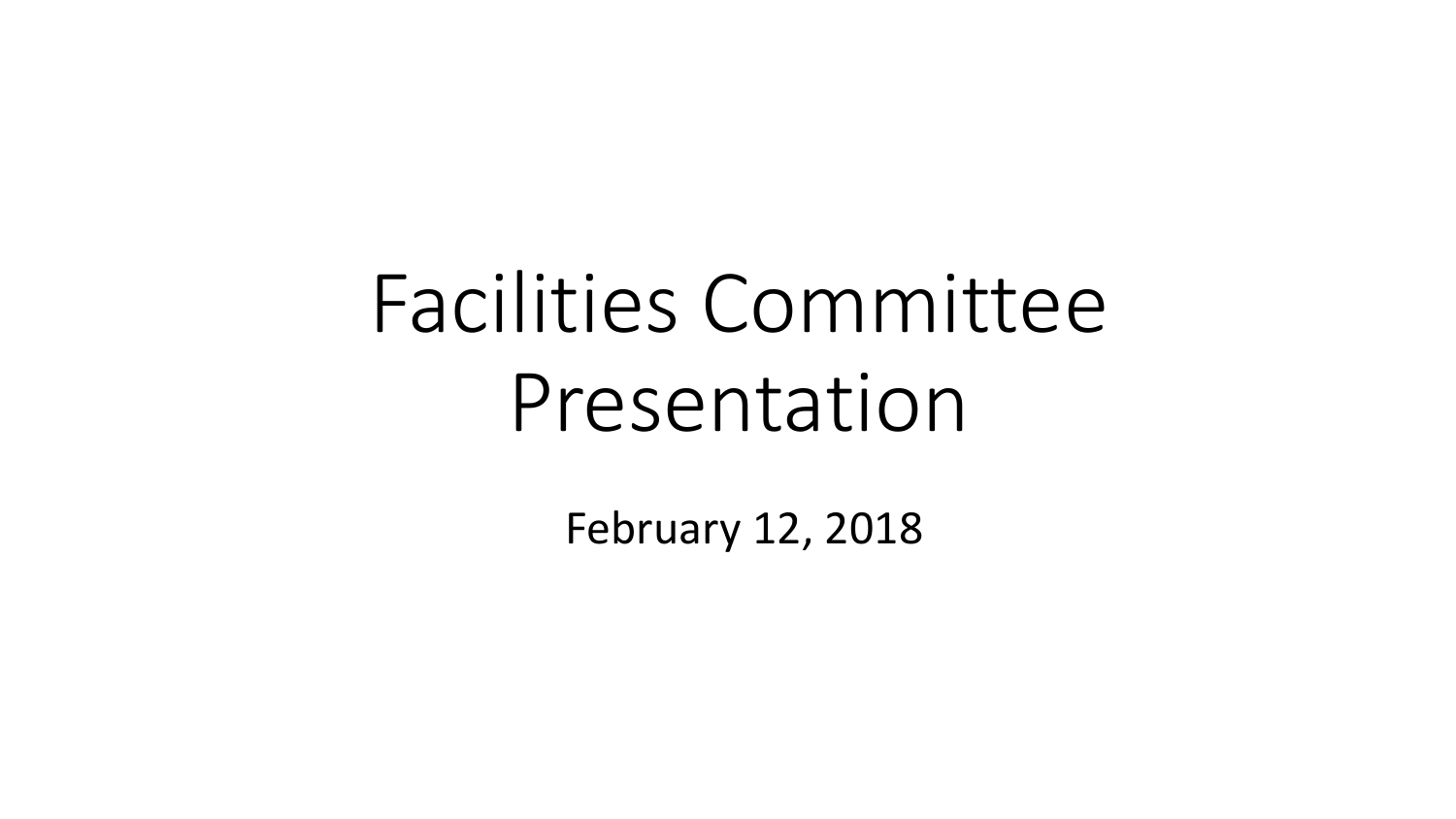# Facilities Committee Presentation

February 12, 2018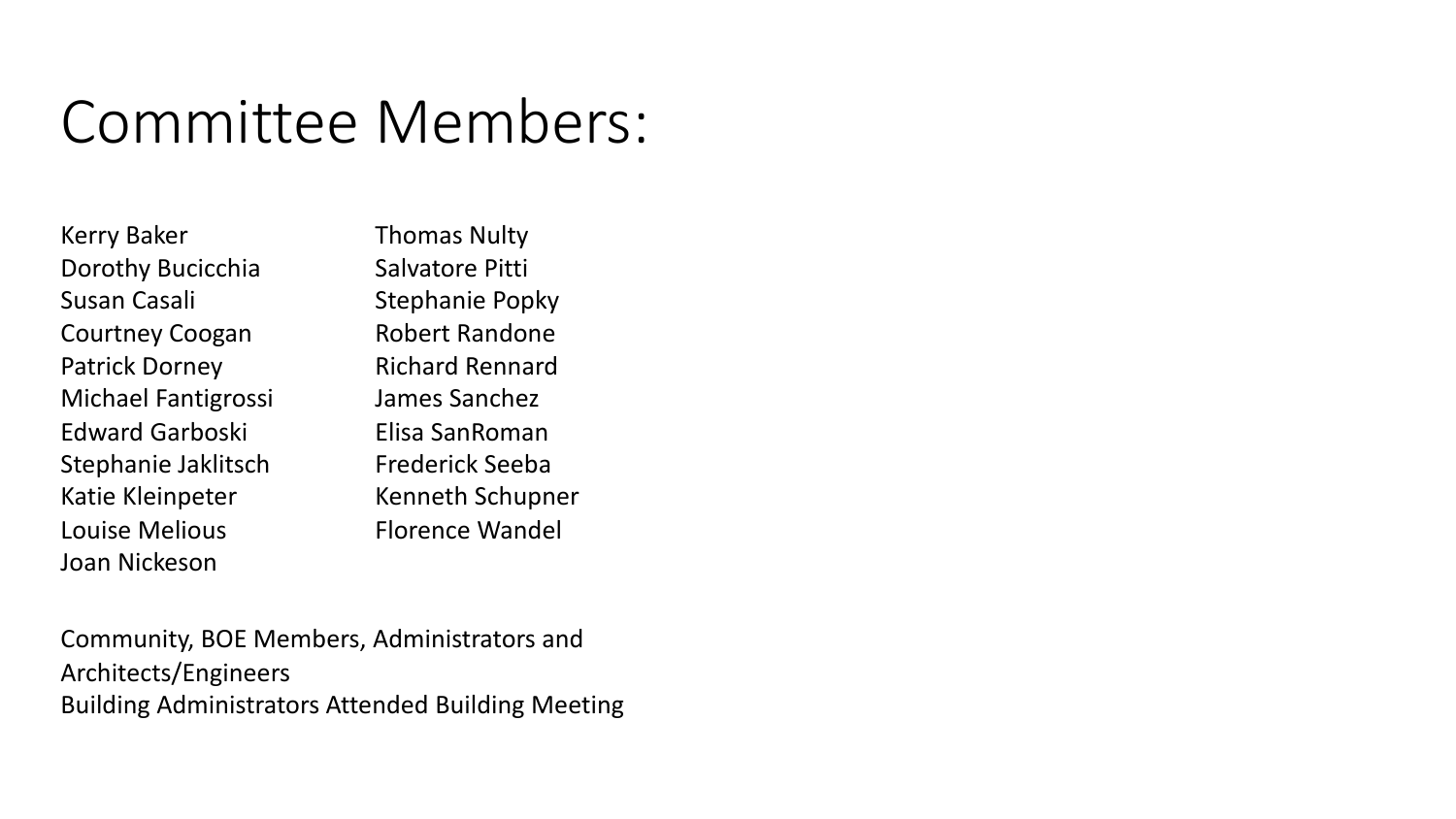#### Committee Members:

Kerry Baker Dorothy Bucicchia Susan Casali Courtney Coogan Patrick Dorney Michael Fantigrossi Edward Garboski Stephanie Jaklitsch Katie Kleinpeter Louise Melious Joan Nickeson

Thomas Nulty Salvatore Pitti Stephanie Popky Robert Randone Richard Rennard James Sanchez Elisa SanRoman Frederick Seeba Kenneth Schupner Florence Wandel

 Community, BOE Members, Administrators and Building Administrators Attended Building Meeting Architects/Engineers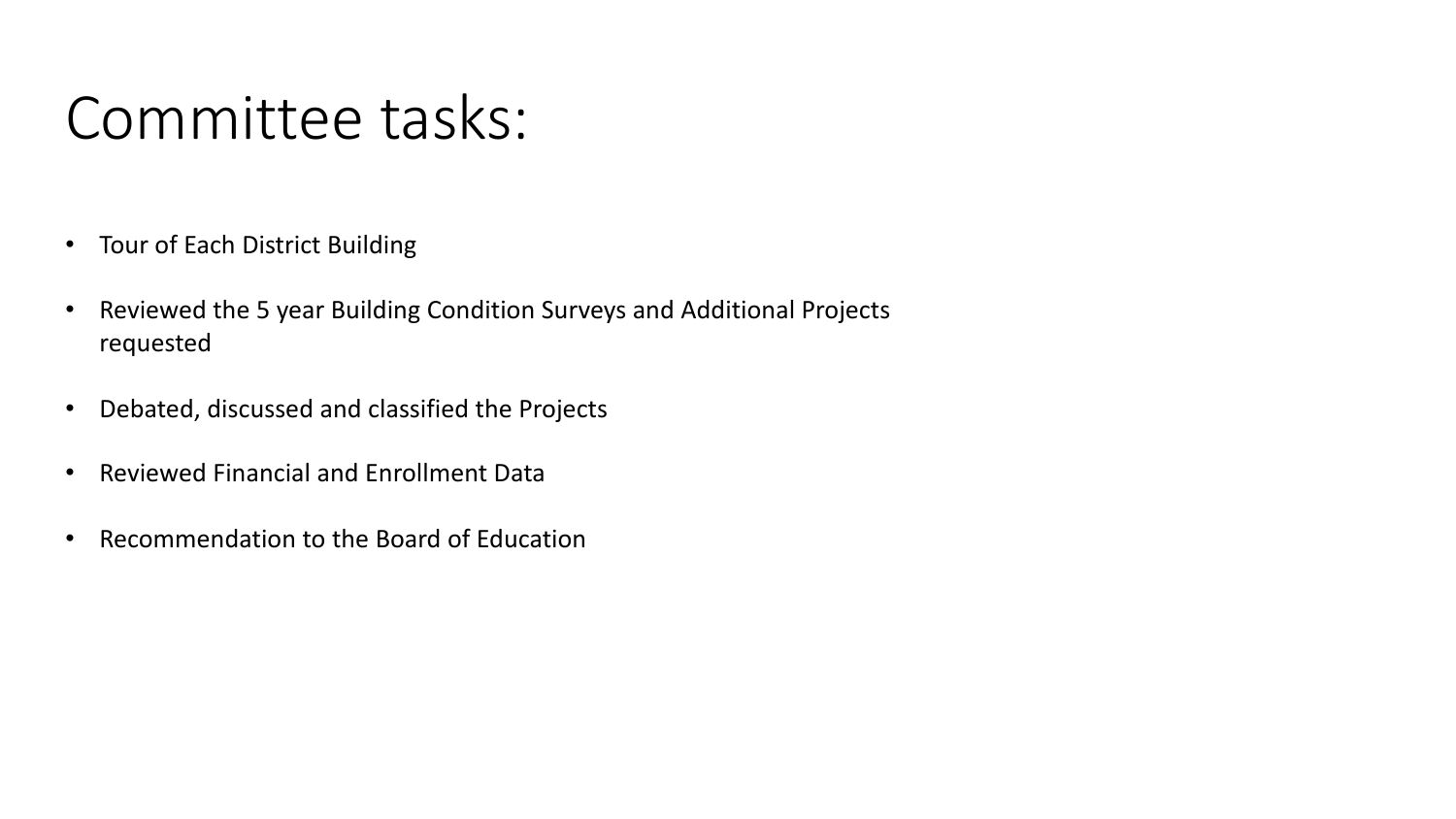### Committee tasks:

- Tour of Each District Building
- • Reviewed the 5 year Building Condition Surveys and Additional Projects requested
- Debated, discussed and classified the Projects
- Reviewed Financial and Enrollment Data
- Recommendation to the Board of Education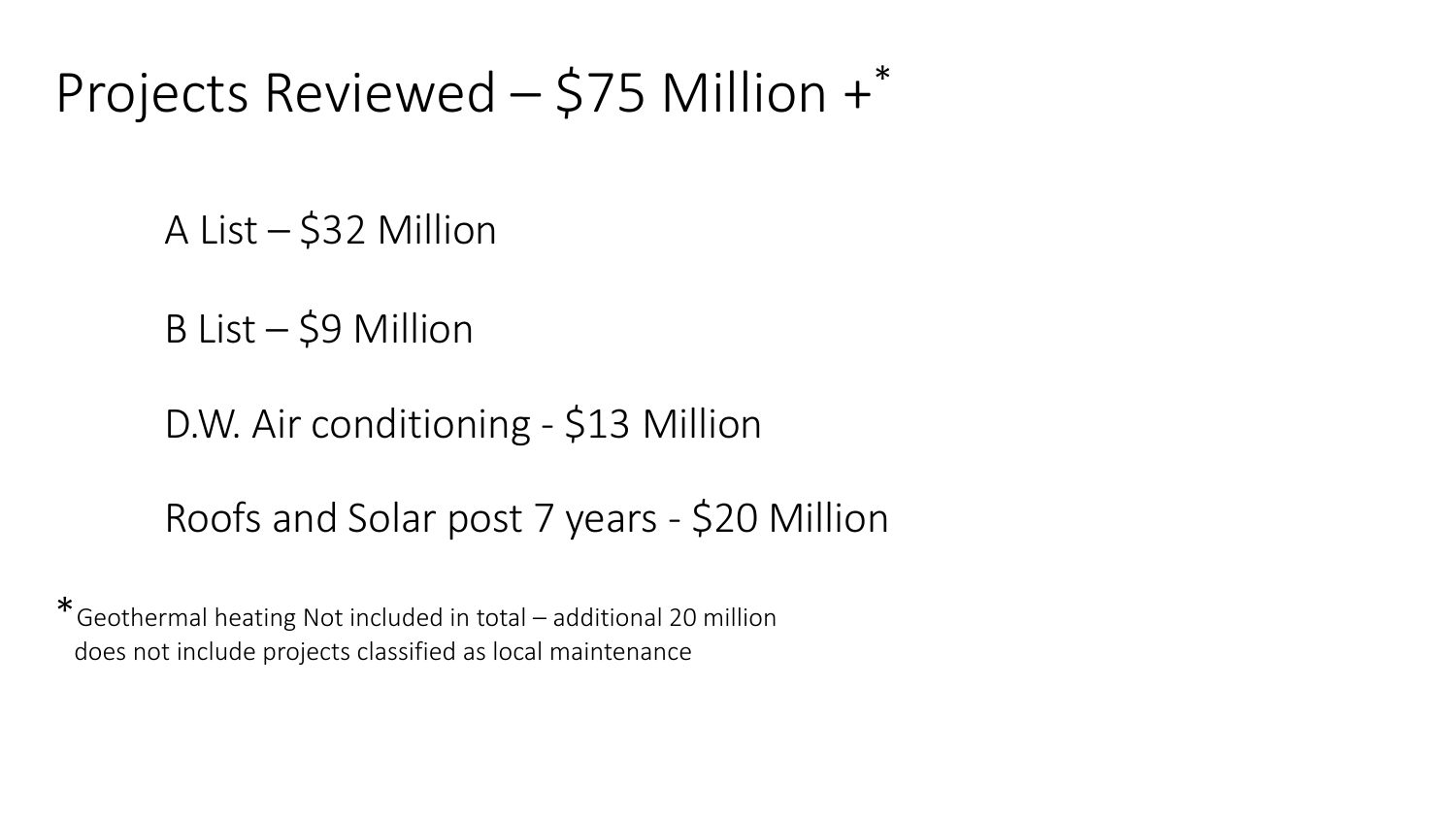#### Projects Reviewed – \$75 Million +\*

A List – \$32 Million

B List – \$9 Million

D.W. Air conditioning - \$13 Million

Roofs and Solar post 7 years - \$20 Million

 \*Geothermal heating Not included in total – additional 20 million does not include projects classified as local maintenance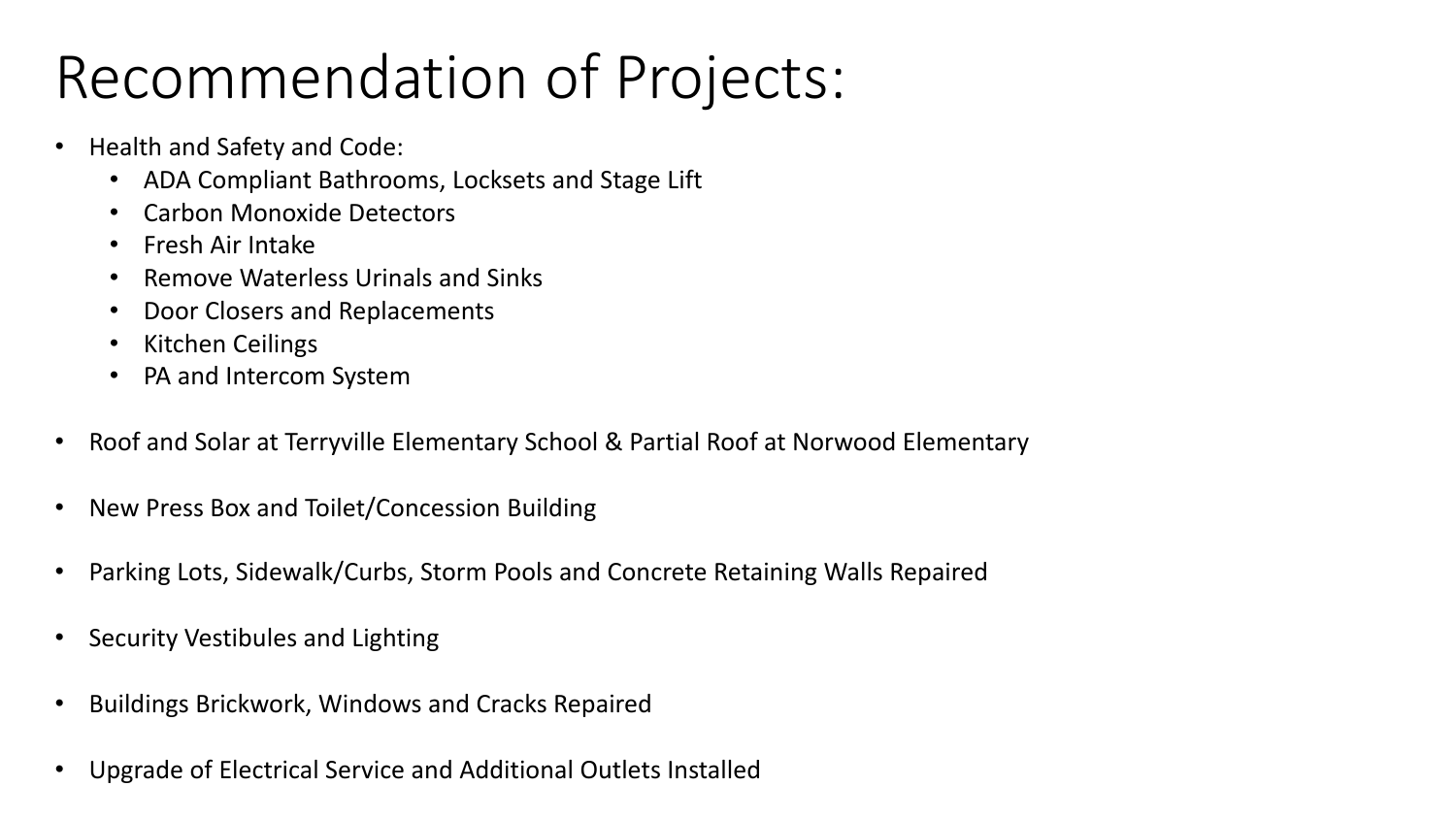# Recommendation of Projects:

- Health and Safety and Code:
	- ADA Compliant Bathrooms, Locksets and Stage Lift
	- Carbon Monoxide Detectors
	- Fresh Air Intake
	- Remove Waterless Urinals and Sinks
	- Door Closers and Replacements
	- Kitchen Ceilings
	- PA and Intercom System
- Roof and Solar at Terryville Elementary School & Partial Roof at Norwood Elementary
- New Press Box and Toilet/Concession Building
- Parking Lots, Sidewalk/Curbs, Storm Pools and Concrete Retaining Walls Repaired
- Security Vestibules and Lighting
- Buildings Brickwork, Windows and Cracks Repaired
- Upgrade of Electrical Service and Additional Outlets Installed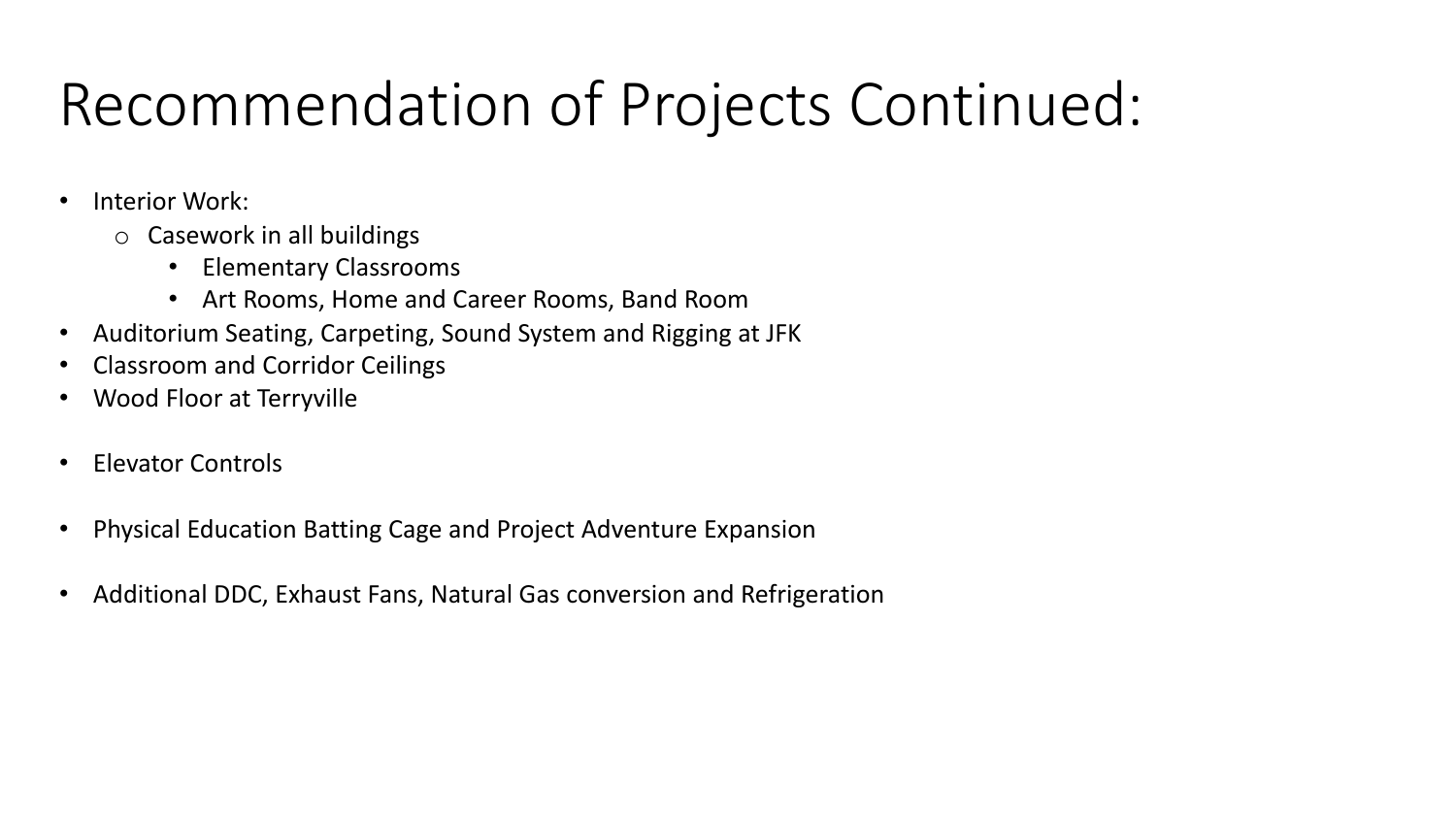# Recommendation of Projects Continued:

- Interior Work:
	- o Casework in all buildings
		- Elementary Classrooms
		- Art Rooms, Home and Career Rooms, Band Room
- Auditorium Seating, Carpeting, Sound System and Rigging at JFK
- Classroom and Corridor Ceilings
- Wood Floor at Terryville
- Elevator Controls
- Physical Education Batting Cage and Project Adventure Expansion
- Additional DDC, Exhaust Fans, Natural Gas conversion and Refrigeration